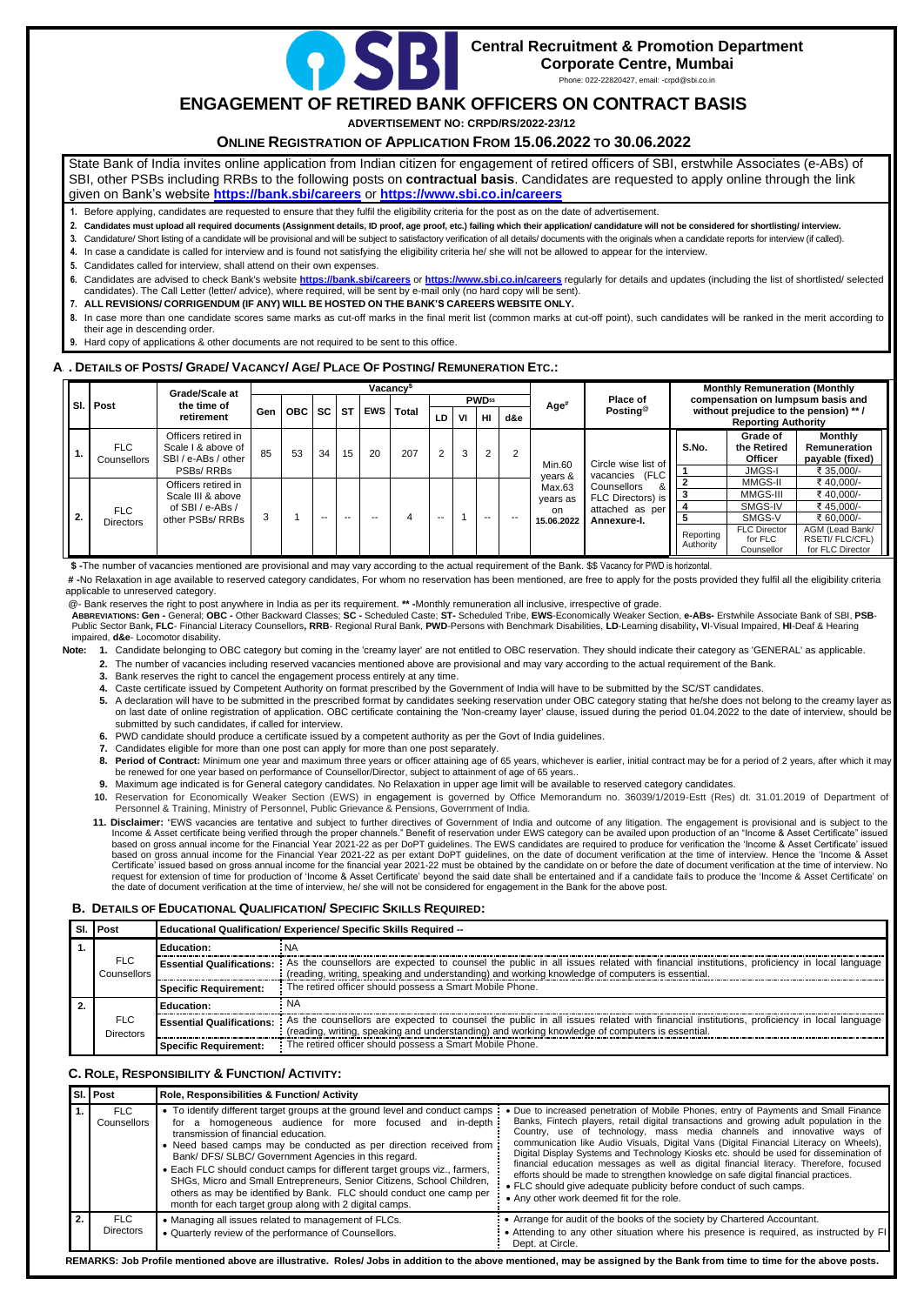

# **Central Recruitment & Promotion Department Corporate Centre, Mumbai**

Phone: 022-22820427, email: -crpd@sbi.co.in

# **ENGAGEMENT OF RETIRED BANK OFFICERS ON CONTRACT BASIS**

**ADVERTISEMENT NO: CRPD/RS/2022-23/12**

## **ONLINE REGISTRATION OF APPLICATION FROM 15.06.2022 TO 30.06.2022**

State Bank of India invites online application from Indian citizen for engagement of retired officers of SBI, erstwhile Associates (e-ABs) of SBI, other PSBs including RRBs to the following posts on **contractual basis**. Candidates are requested to apply online through the link given on Bank's website **<https://bank.sbi/careers>** or **<https://www.sbi.co.in/careers>**

**1.** Before applying, candidates are requested to ensure that they fulfil the eligibility criteria for the post as on the date of advertisement.

2. Candidates must upload all required documents (Assignment details, ID proof, age proof, etc.) failing which their application/ candidature will not be considered for shortlisting/ interview.

- **3.** Candidature/ Short listing of a candidate will be provisional and will be subject to satisfactory verification of all details/ documents with the originals when a candidate reports for interview (if called).
- **4.** In case a candidate is called for interview and is found not satisfying the eligibility criteria he/ she will not be allowed to appear for the interview.
- **5.** Candidates called for interview, shall attend on their own expenses.
- **6.** Candidates are advised to check Bank's website **<https://bank.sbi/careers>** or **<https://www.sbi.co.in/careers>** regularly for details and updates (including the list of shortlisted/ selected candidates). The Call Letter (letter/ advice), where required, will be sent by e-mail only (no hard copy will be sent).
- **7. ALL REVISIONS/ CORRIGENDUM (IF ANY) WILL BE HOSTED ON THE BANK'S CAREERS WEBSITE ONLY.**
- **8.** In case more than one candidate scores same marks as cut-off marks in the final merit list (common marks at cut-off point), such candidates will be ranked in the merit according to their age in descending order.
- **9.** Hard copy of applications & other documents are not required to be sent to this office.

## A . DETAILS OF POSTS/ GRADE/ VACANCY/ AGE/ PLACE OF POSTING/ REMUNERATION ETC.:

ABBREVIATIONS: Gen - General: OBC - Other Backward Classes: SC - Scheduled Caste: ST- Scheduled Tribe, EWS-Economically Weaker Section, e-ABs- Erstwhile Associate Bank of SBI, PSB-Public Sector Bank, FLC- Financial Literacy Counsellors, RRB- Regional Rural Bank, PWD-Persons with Benchmark Disabilities, LD-Learning disability, VI-Visual Impaired, HI-Deaf & Hearing impaired, **d&e**- Locomotor disability.

|    |                                | <b>Grade/Scale at</b><br>the time of<br>retirement                                  | Vacancy <sup>\$</sup> |       |           |           |            |       |                            |    |                 |     |                    |                                                            | <b>Monthly Remuneration (Monthly</b>                                 |                                              |                                                              |           |
|----|--------------------------------|-------------------------------------------------------------------------------------|-----------------------|-------|-----------|-----------|------------|-------|----------------------------|----|-----------------|-----|--------------------|------------------------------------------------------------|----------------------------------------------------------------------|----------------------------------------------|--------------------------------------------------------------|-----------|
|    | SI. Post                       |                                                                                     |                       |       |           |           |            | Total | <b>PWD</b> <sup>\$\$</sup> |    |                 |     | Age#               | Place of                                                   |                                                                      | compensation on lumpsum basis and            |                                                              |           |
|    |                                |                                                                                     | <b>Gen</b>            | OBC I | <b>SC</b> | <b>ST</b> | <b>EWS</b> |       | LD                         | VI | H <sub>II</sub> | d&e |                    | Posting <sup>®</sup>                                       | without prejudice to the pension) ** /<br><b>Reporting Authority</b> |                                              |                                                              |           |
|    | FLC<br>Counsellors             | Officers retired in<br>Scale I & above of<br>SBI / e-ABs / other                    | 85                    | 53    | 34        | 15        | 20         | 207   | 2                          | 3  | 2               | C   | Min.60             | Circle wise list of                                        | S.No.                                                                | Grade of<br>the Retired<br><b>Officer</b>    | <b>Monthly</b><br><b>Remuneration</b><br>payable (fixed)     |           |
|    |                                | PSBs/RRBs                                                                           |                       |       |           |           |            |       |                            |    |                 |     | years &            | (FLC<br>vacancies<br>Counsellors<br>&<br>FLC Directors) is |                                                                      | <b>JMGS-I</b>                                | ₹ 35,000/-                                                   |           |
|    | <b>FLC</b><br><b>Directors</b> | Officers retired in<br>Scale III & above<br>of SBI / $e$ -ABs /<br>other PSBs/ RRBs |                       |       |           |           |            |       |                            |    |                 |     | Max.63<br>years as |                                                            |                                                                      | MMGS-II                                      | ₹40,000/-                                                    |           |
|    |                                |                                                                                     |                       |       |           |           |            |       |                            |    |                 |     |                    |                                                            |                                                                      | MMGS-III                                     | ₹ 40,000/-                                                   |           |
|    |                                |                                                                                     |                       |       |           |           |            |       |                            |    |                 |     |                    | on.                                                        | attached as per                                                      |                                              | SMGS-IV                                                      | ₹45.000/- |
| 2. |                                |                                                                                     |                       |       | --        | $- -$     | $- -$      | 4     | --                         |    | $- -$           |     | 15.06.2022         | Annexure-I.                                                |                                                                      | SMGS-V                                       | ₹ 60.000/-                                                   |           |
|    |                                |                                                                                     |                       |       |           |           |            |       |                            |    |                 |     |                    |                                                            | Reporting<br>Authority                                               | <b>FLC Director</b><br>for FLC<br>Counsellor | AGM (Lead Bank/<br><b>RSETI/FLC/CFL)</b><br>for FLC Director |           |

 **\$ -**The number of vacancies mentioned are provisional and may vary according to the actual requirement of the Bank. \$\$ Vacancy for PWD is horizontal.

**# -**No Relaxation in age available to reserved category candidates, For whom no reservation has been mentioned, are free to apply for the posts provided they fulfil all the eligibility criteria applicable to unreserved category.

@- Bank reserves the right to post anywhere in India as per its requirement. **\*\* -**Monthly remuneration all inclusive, irrespective of grade.

- Note: 1. Candidate belonging to OBC category but coming in the 'creamy layer' are not entitled to OBC reservation. They should indicate their category as 'GENERAL' as applicable.
	- **2.** The number of vacancies including reserved vacancies mentioned above are provisional and may vary according to the actual requirement of the Bank.
	- **3.** Bank reserves the right to cancel the engagement process entirely at any time.
	- **4.** Caste certificate issued by Competent Authority on format prescribed by the Government of India will have to be submitted by the SC/ST candidates.
	- 5. A declaration will have to be submitted in the prescribed format by candidates seeking reservation under OBC category stating that he/she does not belong to the creamy layer as on last date of online registration of application. OBC certificate containing the 'Non-creamy layer' clause, issued during the period 01.04.2022 to the date of interview, should be submitted by such candidates, if called for interview.
	- **6.** PWD candidate should produce a certificate issued by a competent authority as per the Govt of India guidelines.
	- **7.** Candidates eligible for more than one post can apply for more than one post separately.
	- 8. Period of Contract: Minimum one year and maximum three years or officer attaining age of 65 years, whichever is earlier, initial contract may be for a period of 2 years, after which it may be renewed for one year based on performance of Counsellor/Director, subject to attainment of age of 65 years..
	- **9.** Maximum age indicated is for General category candidates. No Relaxation in upper age limit will be available to reserved category candidates.
	- **10.** Reservation for Economically Weaker Section (EWS) in engagement is governed by Office Memorandum no. 36039/1/2019-Estt (Res) dt. 31.01.2019 of Department of Personnel & Training, Ministry of Personnel, Public Grievance & Pensions, Government of India.
	- 11. Disclaimer: "EWS vacancies are tentative and subject to further directives of Government of India and outcome of any litigation. The engagement is provisional and is subject to the Income & Asset certificate being verified through the proper channels." Benefit of reservation under EWS category can be availed upon production of an "Income & Asset Certificate" issued based on gross annual income for the Financial Year 2021-22 as per DoPT guidelines. The EWS candidates are required to produce for verification the 'Income & Asset Certificate' issued based on gross annual income for the Financial Year 2021-22 as per extant DoPT guidelines, on the date of document verification at the time of interview. Hence the 'Income & Asset Certificate' issued based on gross annual income for the financial year 2021-22 must be obtained by the candidate on or before the date of document verification at the time of interview. No request for extension of time for production of 'Income & Asset Certificate' beyond the said date shall be entertained and if a candidate fails to produce the 'Income & Asset Certificate' on the date of document verification at the time of interview, he/ she will not be considered for engagement in the Bank for the above post.

## **B. DETAILS OF EDUCATIONAL QUALIFICATION/ SPECIFIC SKILLS REQUIRED:**

|  | SI. Post                       | Educational Qualification/ Experience/ Specific Skills Required --                                                                                                                                                                                                   |                                                                                                                                                                                                                                                                       |  |  |  |  |  |  |
|--|--------------------------------|----------------------------------------------------------------------------------------------------------------------------------------------------------------------------------------------------------------------------------------------------------------------|-----------------------------------------------------------------------------------------------------------------------------------------------------------------------------------------------------------------------------------------------------------------------|--|--|--|--|--|--|
|  | FLC.<br>Counsellors            | <b>Education:</b>                                                                                                                                                                                                                                                    | : NA                                                                                                                                                                                                                                                                  |  |  |  |  |  |  |
|  |                                | Essential Qualifications: : As the counsellors are expected to counsel the public in all issues related with financial institutions, proficiency in local language<br>reading, writing, speaking and understanding) and working knowledge of computers is essential. |                                                                                                                                                                                                                                                                       |  |  |  |  |  |  |
|  |                                | <b>Specific Requirement:</b>                                                                                                                                                                                                                                         | : The retired officer should possess a Smart Mobile Phone.                                                                                                                                                                                                            |  |  |  |  |  |  |
|  | <b>FLC</b><br><b>Directors</b> | <b>Education:</b>                                                                                                                                                                                                                                                    | NA.                                                                                                                                                                                                                                                                   |  |  |  |  |  |  |
|  |                                |                                                                                                                                                                                                                                                                      | Essential Qualifications: : As the counsellors are expected to counsel the public in all issues related with financial institutions, proficiency in local language<br>(reading, writing, speaking and understanding) and working knowledge of computers is essential. |  |  |  |  |  |  |
|  |                                | <b>Specific Requirement:</b>                                                                                                                                                                                                                                         | The retired officer should possess a Smart Mobile Phone.                                                                                                                                                                                                              |  |  |  |  |  |  |

## **C. ROLE, RESPONSIBILITY & FUNCTION/ ACTIVITY:**

| <b>SI. I Post</b>          | <b>Role, Responsibilities &amp; Function/ Activity</b>                                                                                                                                                                                                                                                                                                                                                                                                                                                                                                                                                    |                                                                                                                                                                                                                                                                                                                                                                                                                                                                                                                                                                                                                                                                                                                                                   |  |  |  |  |  |
|----------------------------|-----------------------------------------------------------------------------------------------------------------------------------------------------------------------------------------------------------------------------------------------------------------------------------------------------------------------------------------------------------------------------------------------------------------------------------------------------------------------------------------------------------------------------------------------------------------------------------------------------------|---------------------------------------------------------------------------------------------------------------------------------------------------------------------------------------------------------------------------------------------------------------------------------------------------------------------------------------------------------------------------------------------------------------------------------------------------------------------------------------------------------------------------------------------------------------------------------------------------------------------------------------------------------------------------------------------------------------------------------------------------|--|--|--|--|--|
| FLC.<br><b>Counsellors</b> | • To identify different target groups at the ground level and conduct camps :<br>for a homogeneous audience for more focused and in-depth:<br>transmission of financial education.<br>Need based camps may be conducted as per direction received from<br>Bank/ DFS/ SLBC/ Government Agencies in this regard.<br>• Each FLC should conduct camps for different target groups viz., farmers,<br>SHGs, Micro and Small Entrepreneurs, Senior Citizens, School Children,<br>others as may be identified by Bank. FLC should conduct one camp per<br>month for each target group along with 2 digital camps. | • Due to increased penetration of Mobile Phones, entry of Payments and Small Finance<br>Banks, Fintech players, retail digital transactions and growing adult population in the<br>Country, use of technology, mass media channels and innovative ways of<br>communication like Audio Visuals, Digital Vans (Digital Financial Literacy on Wheels),<br>Digital Display Systems and Technology Kiosks etc. should be used for dissemination of<br>financial education messages as well as digital financial literacy. Therefore, focused<br>efforts should be made to strengthen knowledge on safe digital financial practices.<br>• FLC should give adequate publicity before conduct of such camps.<br>• Any other work deemed fit for the role. |  |  |  |  |  |
| FLC.<br><b>Directors</b>   | • Managing all issues related to management of FLCs.<br>• Quarterly review of the performance of Counsellors.                                                                                                                                                                                                                                                                                                                                                                                                                                                                                             | • Arrange for audit of the books of the society by Chartered Accountant.<br>• Attending to any other situation where his presence is required, as instructed by FI<br>Dept. at Circle.                                                                                                                                                                                                                                                                                                                                                                                                                                                                                                                                                            |  |  |  |  |  |

REMARKS: Job Profile mentioned above are illustrative. Roles/ Jobs in addition to the above mentioned, may be assigned by the Bank from time to time for the above posts.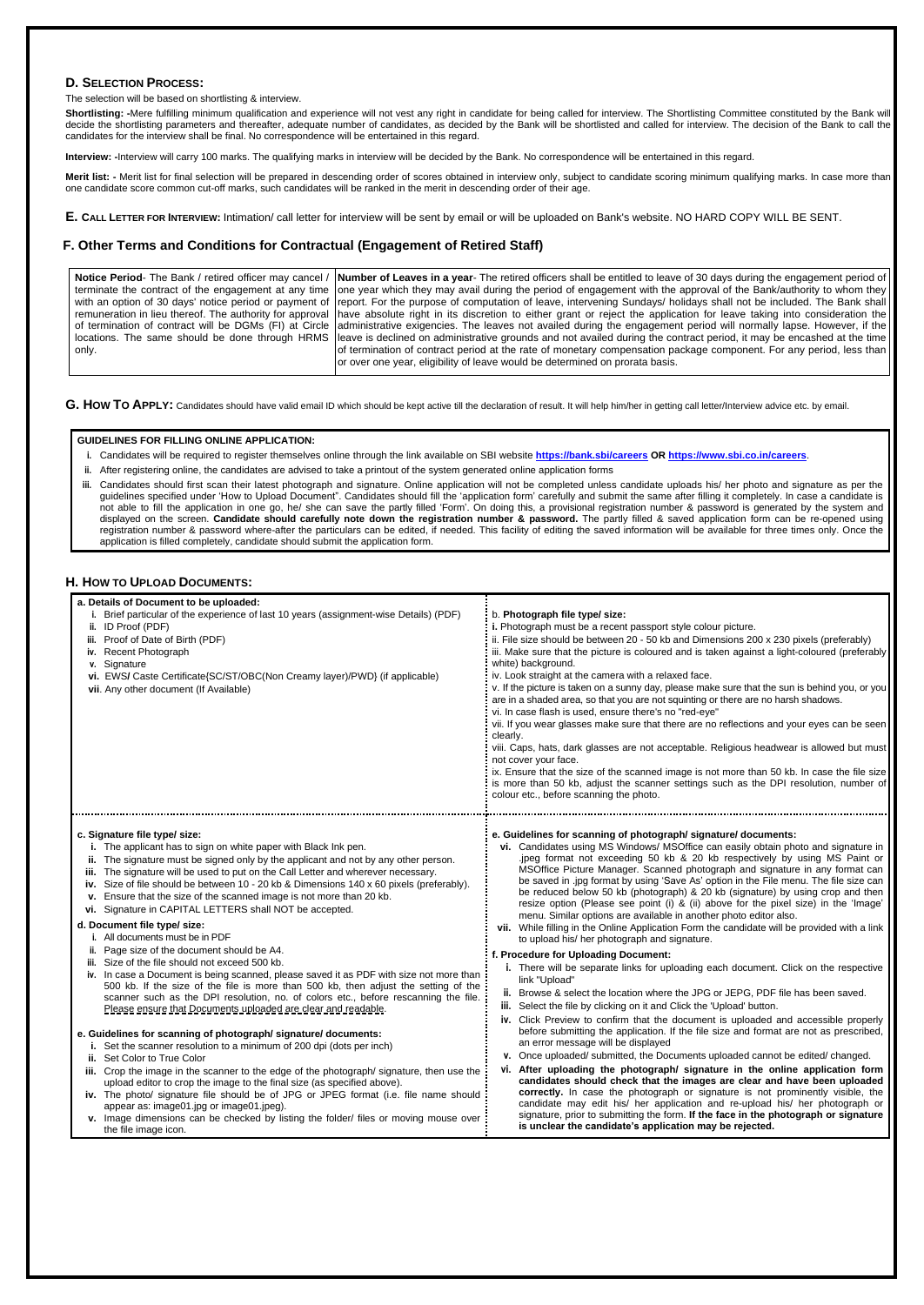## **D. SELECTION PROCESS:**

#### The selection will be based on shortlisting & interview.

Shortlisting: -Mere fulfilling minimum qualification and experience will not vest any right in candidate for being called for interview. The Shortlisting Committee constituted by the Bank will decide the shortlisting parameters and thereafter, adequate number of candidates, as decided by the Bank will be shortlisted and called for interview. The decision of the Bank to call the candidates for the interview shall be final. No correspondence will be entertained in this regard.

Merit list: - Merit list for final selection will be prepared in descending order of scores obtained in interview only, subject to candidate scoring minimum qualifying marks. In case more than one candidate score common cut-off marks, such candidates will be ranked in the merit in descending order of their age.

**Interview: -**Interview will carry 100 marks. The qualifying marks in interview will be decided by the Bank. No correspondence will be entertained in this regard.

**E. CALL LETTER FOR INTERVIEW:** Intimation/ call letter for interview will be sent by email or will be uploaded on Bank's website. NO HARD COPY WILL BE SENT.

## **F. Other Terms and Conditions for Contractual (Engagement of Retired Staff)**

|       | Notice Period- The Bank / retired officer may cancel /   Number of Leaves in a year- The retired officers shall be entitled to leave of 30 days during the engagement period of    |
|-------|------------------------------------------------------------------------------------------------------------------------------------------------------------------------------------|
|       | terminate the contract of the engagement at any time one year which they may avail during the period of engagement with the approval of the Bank/authority to whom they            |
|       | with an option of 30 days' notice period or payment of   report. For the purpose of computation of leave, intervening Sundays/ holidays shall not be included. The Bank shall      |
|       | remuneration in lieu thereof. The authority for approval   have absolute right in its discretion to either grant or reject the application for leave taking into consideration the |
|       | of termination of contract will be DGMs (FI) at Circle   administrative exigencies. The leaves not availed during the engagement period will normally lapse. However, if the       |
|       | locations. The same should be done through HRMS  leave is declined on administrative grounds and not availed during the contract period, it may be encashed at the time            |
| only. | of termination of contract period at the rate of monetary compensation package component. For any period, less than                                                                |
|       | or over one year, eligibility of leave would be determined on prorata basis.                                                                                                       |

G. How To APPLY: Candidates should have valid email ID which should be kept active till the declaration of result. It will help him/her in getting call letter/Interview advice etc. by email.

iii. Candidates should first scan their latest photograph and signature. Online application will not be completed unless candidate uploads his/ her photo and signature as per the guidelines specified under 'How to Upload Document". Candidates should fill the 'application form' carefully and submit the same after filling it completely. In case a candidate is not able to fill the application in one go, he/ she can save the partly filled 'Form'. On doing this, a provisional registration number & password is generated by the system and displayed on the screen. **Candidate should carefully note down the registration number & password.** The partly filled & saved application form can be re-opened using registration number & password where-after the particulars can be edited, if needed. This facility of editing the saved information will be available for three times only. Once the application is filled completely, candidate should submit the application form.

### **H.** HOW TO UPLOAD DOCUMENTS:

#### **GUIDELINES FOR FILLING ONLINE APPLICATION:**

- **i.** Candidates will be required to register themselves online through the link available on SBI website **<https://bank.sbi/careers> OR <https://www.sbi.co.in/careers>**.
- **ii.** After registering online, the candidates are advised to take a printout of the system generated online application forms

500 kb. If the size of the file is more than 500 kb, then adjust the setting of the scanner such as the DPI resolution, no. of colors etc., before rescanning the file. Please ensure that Documents uploaded are clear and readable.

| a. Details of Document to be uploaded:<br>Brief particular of the experience of last 10 years (assignment-wise Details) (PDF)<br>ID Proof (PDF)<br>Proof of Date of Birth (PDF)<br>iii.<br>iv. Recent Photograph<br>v. Signature<br>vi. EWS/ Caste Certificate{SC/ST/OBC(Non Creamy layer)/PWD} (if applicable)<br>vii. Any other document (If Available)                                                                                                                                                                                                                                                                                                                                                                                                                    | b. Photograph file type/ size:<br>. Photograph must be a recent passport style colour picture.<br>ii. File size should be between 20 - 50 kb and Dimensions 200 x 230 pixels (preferably)<br>iii. Make sure that the picture is coloured and is taken against a light-coloured (preferably<br>white) background.<br>iv. Look straight at the camera with a relaxed face.<br>v. If the picture is taken on a sunny day, please make sure that the sun is behind you, or you<br>are in a shaded area, so that you are not squinting or there are no harsh shadows.<br>vi. In case flash is used, ensure there's no "red-eye"<br>vii. If you wear glasses make sure that there are no reflections and your eyes can be seen<br>clearly.<br>viii. Caps, hats, dark glasses are not acceptable. Religious headwear is allowed but must<br>not cover your face.<br>ix. Ensure that the size of the scanned image is not more than 50 kb. In case the file size<br>is more than 50 kb, adjust the scanner settings such as the DPI resolution, number of<br>colour etc., before scanning the photo. |
|------------------------------------------------------------------------------------------------------------------------------------------------------------------------------------------------------------------------------------------------------------------------------------------------------------------------------------------------------------------------------------------------------------------------------------------------------------------------------------------------------------------------------------------------------------------------------------------------------------------------------------------------------------------------------------------------------------------------------------------------------------------------------|----------------------------------------------------------------------------------------------------------------------------------------------------------------------------------------------------------------------------------------------------------------------------------------------------------------------------------------------------------------------------------------------------------------------------------------------------------------------------------------------------------------------------------------------------------------------------------------------------------------------------------------------------------------------------------------------------------------------------------------------------------------------------------------------------------------------------------------------------------------------------------------------------------------------------------------------------------------------------------------------------------------------------------------------------------------------------------------------|
| c. Signature file type/ size:<br>i. The applicant has to sign on white paper with Black Ink pen.<br>The signature must be signed only by the applicant and not by any other person.<br>н.<br>The signature will be used to put on the Call Letter and wherever necessary.<br>iii.<br>iv. Size of file should be between 10 - 20 kb & Dimensions 140 x 60 pixels (preferably).<br>Ensure that the size of the scanned image is not more than 20 kb.<br>v.<br>vi. Signature in CAPITAL LETTERS shall NOT be accepted.<br>d. Document file type/ size:<br>All documents must be in PDF<br>Page size of the document should be A4.<br>iii. Size of the file should not exceed 500 kb.<br>iv. In case a Document is being scanned, please saved it as PDF with size not more than | e. Guidelines for scanning of photograph/ signature/ documents:<br>vi. Candidates using MS Windows/ MSOffice can easily obtain photo and signature in<br>.jpeg format not exceeding 50 kb & 20 kb respectively by using MS Paint or<br>MSOffice Picture Manager. Scanned photograph and signature in any format can<br>be saved in .jpg format by using 'Save As' option in the File menu. The file size can<br>be reduced below 50 kb (photograph) & 20 kb (signature) by using crop and then<br>resize option (Please see point (i) & (ii) above for the pixel size) in the 'Image'<br>menu. Similar options are available in another photo editor also.<br>vii. While filling in the Online Application Form the candidate will be provided with a link<br>to upload his/ her photograph and signature.<br>f. Procedure for Uploading Document:<br>i. There will be separate links for uploading each document. Click on the respective<br>link "Upload"                                                                                                                                  |

- **e. Guidelines for scanning of photograph/ signature/ documents:**
	- **i.** Set the scanner resolution to a minimum of 200 dpi (dots per inch)
	- **ii.** Set Color to True Color
	- **iii.** Crop the image in the scanner to the edge of the photograph/ signature, then use the upload editor to crop the image to the final size (as specified above).
	- **iv.** The photo/ signature file should be of JPG or JPEG format (i.e. file name should appear as: image01.jpg or image01.jpeg).
	- **v.** Image dimensions can be checked by listing the folder/ files or moving mouse over the file image icon.
- **ii.** Browse & select the location where the JPG or JEPG, PDF file has been saved.
- **iii.** Select the file by clicking on it and Click the 'Upload' button.
- **iv.** Click Preview to confirm that the document is uploaded and accessible properly before submitting the application. If the file size and format are not as prescribed, an error message will be displayed
- **v.** Once uploaded/ submitted, the Documents uploaded cannot be edited/ changed.
- **vi. After uploading the photograph/ signature in the online application form candidates should check that the images are clear and have been uploaded correctly.** In case the photograph or signature is not prominently visible, the candidate may edit his/ her application and re-upload his/ her photograph or signature, prior to submitting the form. **If the face in the photograph or signature is unclear the candidate's application may be rejected.**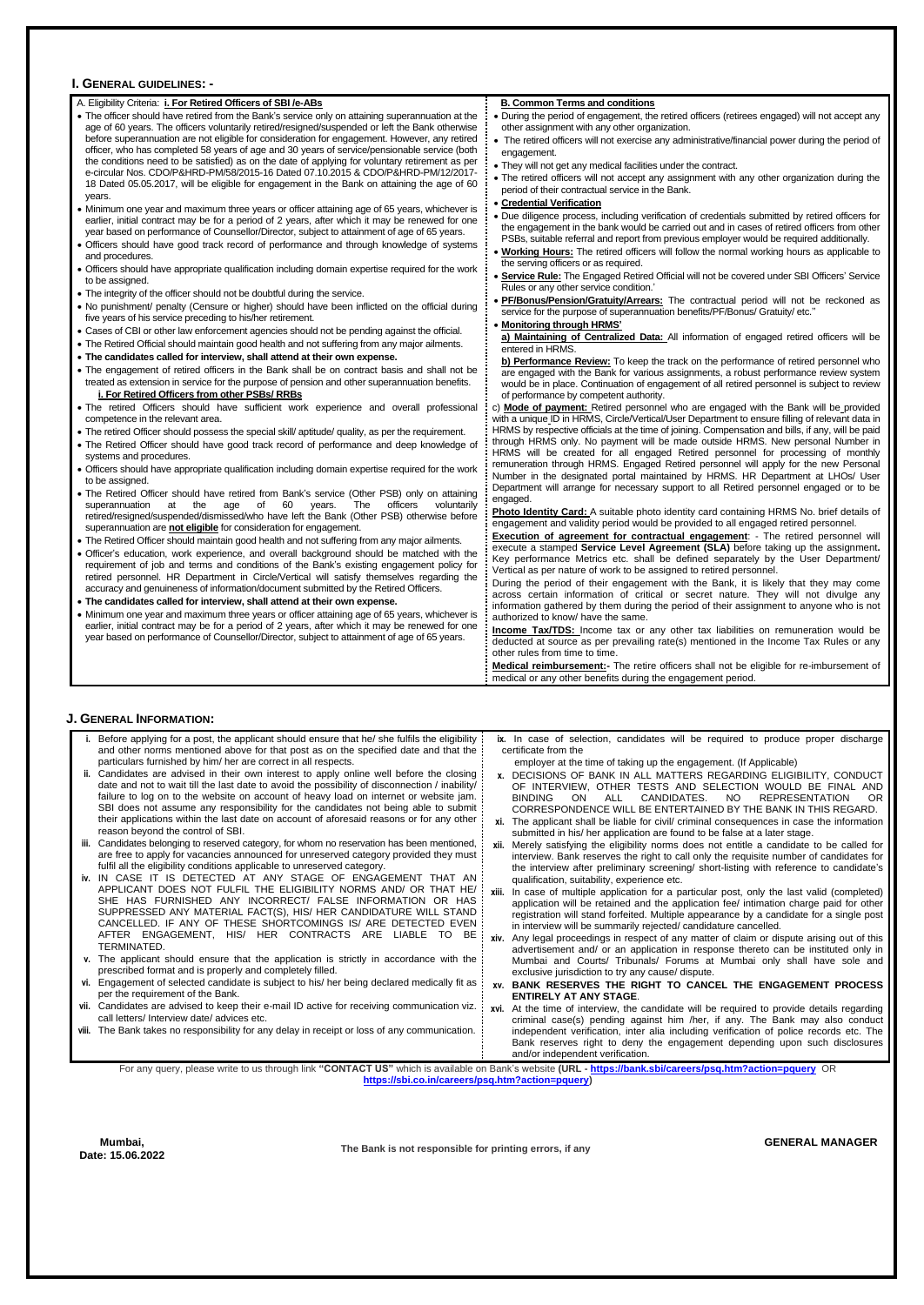#### **I. GENERAL GUIDELINES: -**

| A. Eligibility Criteria: i. For Retired Officers of SBI/e-ABs                                                                                                                                        | <b>B. Common Terms and conditions</b>                                                                                                                                                |
|------------------------------------------------------------------------------------------------------------------------------------------------------------------------------------------------------|--------------------------------------------------------------------------------------------------------------------------------------------------------------------------------------|
| • The officer should have retired from the Bank's service only on attaining superannuation at the<br>age of 60 years. The officers voluntarily retired/resigned/suspended or left the Bank otherwise | During the period of engagement, the retired officers (retirees engaged) will not accept any<br>other assignment with any other organization.                                        |
| before superannuation are not eligible for consideration for engagement. However, any retired                                                                                                        |                                                                                                                                                                                      |
| officer, who has completed 58 years of age and 30 years of service/pensionable service (both                                                                                                         | • The retired officers will not exercise any administrative/financial power during the period of<br>engagement.                                                                      |
| the conditions need to be satisfied) as on the date of applying for voluntary retirement as per                                                                                                      | . They will not get any medical facilities under the contract.                                                                                                                       |
| e-circular Nos. CDO/P&HRD-PM/58/2015-16 Dated 07.10.2015 & CDO/P&HRD-PM/12/2017-                                                                                                                     | . The retired officers will not accept any assignment with any other organization during the                                                                                         |
| 18 Dated 05.05.2017, will be eligible for engagement in the Bank on attaining the age of 60<br>years.                                                                                                | period of their contractual service in the Bank.                                                                                                                                     |
| • Minimum one year and maximum three years or officer attaining age of 65 years, whichever is                                                                                                        | • Credential Verification                                                                                                                                                            |
| earlier, initial contract may be for a period of 2 years, after which it may be renewed for one                                                                                                      | Due diligence process, including verification of credentials submitted by retired officers for                                                                                       |
| year based on performance of Counsellor/Director, subject to attainment of age of 65 years.                                                                                                          | the engagement in the bank would be carried out and in cases of retired officers from other                                                                                          |
| • Officers should have good track record of performance and through knowledge of systems                                                                                                             | PSBs, suitable referral and report from previous employer would be required additionally.                                                                                            |
| and procedures.                                                                                                                                                                                      | • Working Hours: The retired officers will follow the normal working hours as applicable to                                                                                          |
| • Officers should have appropriate qualification including domain expertise required for the work                                                                                                    | the serving officers or as required.                                                                                                                                                 |
| to be assigned.                                                                                                                                                                                      | <b>Service Rule:</b> The Engaged Retired Official will not be covered under SBI Officers' Service<br>Rules or any other service condition.'                                          |
| • The integrity of the officer should not be doubtful during the service.                                                                                                                            | PF/Bonus/Pension/Gratuity/Arrears: The contractual period will not be reckoned as                                                                                                    |
| . No punishment/ penalty (Censure or higher) should have been inflicted on the official during                                                                                                       | service for the purpose of superannuation benefits/PF/Bonus/ Gratuity/ etc."                                                                                                         |
| five years of his service preceding to his/her retirement.                                                                                                                                           | • Monitoring through HRMS'                                                                                                                                                           |
| • Cases of CBI or other law enforcement agencies should not be pending against the official.                                                                                                         | a) Maintaining of Centralized Data: All information of engaged retired officers will be                                                                                              |
| • The Retired Official should maintain good health and not suffering from any major ailments.<br>• The candidates called for interview, shall attend at their own expense.                           | entered in HRMS.                                                                                                                                                                     |
| • The engagement of retired officers in the Bank shall be on contract basis and shall not be                                                                                                         | b) Performance Review: To keep the track on the performance of retired personnel who                                                                                                 |
| treated as extension in service for the purpose of pension and other superannuation benefits.                                                                                                        | are engaged with the Bank for various assignments, a robust performance review system<br>would be in place. Continuation of engagement of all retired personnel is subject to review |
| i. For Retired Officers from other PSBs/RRBs                                                                                                                                                         | of performance by competent authority.                                                                                                                                               |
| . The retired Officers should have sufficient work experience and overall professional                                                                                                               | c) Mode of payment: Retired personnel who are engaged with the Bank will be provided                                                                                                 |
| competence in the relevant area.                                                                                                                                                                     | with a unique ID in HRMS, Circle/Vertical/User Department to ensure filling of relevant data in                                                                                      |
| • The retired Officer should possess the special skill/ aptitude/ quality, as per the requirement.                                                                                                   | HRMS by respective officials at the time of joining. Compensation and bills, if any, will be paid                                                                                    |
| • The Retired Officer should have good track record of performance and deep knowledge of                                                                                                             | through HRMS only. No payment will be made outside HRMS. New personal Number in<br>HRMS will be created for all engaged Retired personnel for processing of monthly                  |
| systems and procedures.<br>• Officers should have appropriate qualification including domain expertise required for the work                                                                         | remuneration through HRMS. Engaged Retired personnel will apply for the new Personal                                                                                                 |
| to be assigned.                                                                                                                                                                                      | Number in the designated portal maintained by HRMS. HR Department at LHOs/ User                                                                                                      |
| • The Retired Officer should have retired from Bank's service (Other PSB) only on attaining                                                                                                          | Department will arrange for necessary support to all Retired personnel engaged or to be                                                                                              |
| at<br>the<br>age<br>of 60<br>years.<br>The<br>officers<br>voluntarily<br>superannuation                                                                                                              | engaged.                                                                                                                                                                             |
| retired/resigned/suspended/dismissed/who have left the Bank (Other PSB) otherwise before                                                                                                             | Photo Identity Card: A suitable photo identity card containing HRMS No. brief details of<br>engagement and validity period would be provided to all engaged retired personnel.       |
| superannuation are not eligible for consideration for engagement.                                                                                                                                    | <b>Execution of agreement for contractual engagement:</b> - The retired personnel will                                                                                               |
| • The Retired Officer should maintain good health and not suffering from any major ailments.                                                                                                         | execute a stamped Service Level Agreement (SLA) before taking up the assignment.                                                                                                     |
| · Officer's education, work experience, and overall background should be matched with the                                                                                                            | Key performance Metrics etc. shall be defined separately by the User Department/                                                                                                     |
| requirement of job and terms and conditions of the Bank's existing engagement policy for<br>retired personnel. HR Department in Circle/Vertical will satisfy themselves regarding the                | Vertical as per nature of work to be assigned to retired personnel.                                                                                                                  |
| accuracy and genuineness of information/document submitted by the Retired Officers.                                                                                                                  | During the period of their engagement with the Bank, it is likely that they may come                                                                                                 |
| • The candidates called for interview, shall attend at their own expense.                                                                                                                            | across certain information of critical or secret nature. They will not divulge any                                                                                                   |
| • Minimum one year and maximum three years or officer attaining age of 65 years, whichever is                                                                                                        | information gathered by them during the period of their assignment to anyone who is not<br>authorized to know/ have the same.                                                        |
| earlier, initial contract may be for a period of 2 years, after which it may be renewed for one                                                                                                      | <b>Income Tax/TDS:</b> Income tax or any other tax liabilities on remuneration would be                                                                                              |
| year based on performance of Counsellor/Director, subject to attainment of age of 65 years.                                                                                                          | deducted at source as per prevailing rate(s) mentioned in the Income Tax Rules or any                                                                                                |
|                                                                                                                                                                                                      | other rules from time to time.                                                                                                                                                       |
|                                                                                                                                                                                                      | Medical reimbursement:- The retire officers shall not be eligible for re-imbursement of                                                                                              |

**• Medical reimbursement:-** The retire officers shall not be eligible for re-imbursement of  $\frac{1}{2}$  medical or any other benefits during the engagement period.

- 
- egal proceedings in respect of any matter of claim or dispute aris advertisement and/ or an application in response thereto can be instituted only in Mumbai and Courts/ Tribunals/ Forums at Mumbai only shall have sole and exclusive jurisdiction to try any cause/ dispute.
- 
- **v.** The applicant should ensure that the application is strictly in accordance with the : prescribed format and is properly and completely filled.
- **vi.** Engagement of selected candidate is subject to his/ her being declared medically fit as per the requirement of the Bank. vii. Candidates are advised to keep their e-mail ID active for receiving communication viz. : call letters/ Interview date/ advices etc. **viii.** The Bank takes no responsibility for any delay in receipt or loss of any communication. **xv. BANK RESERVES THE RIGHT TO CANCEL THE ENGAGEMENT PROCESS ENTIRELY AT ANY STAGE**. **xvi.** At the time of interview, the candidate will be required to provide details regarding criminal case(s) pending against him /her, if any. The Bank may also conduct independent verification, inter alia including verification of police records etc. The Bank reserves right to deny the engagement depending upon such disclosures and/or independent verification. For any query, please write to us through link **"CONTACT US"** which is available on Bank's website **(URL - <https://bank.sbi/careers/psq.htm?action=pquery>** OR **[https://sbi.co.in/careers/psq.htm?action=pquery\)](https://sbi.co.in/careers/psq.htm?action=pquery)**

### **J. GENERAL INFORMATION:**

TERMINATED.

| i. Before applying for a post, the applicant should ensure that he/ she fulfils the eligibility:<br>and other norms mentioned above for that post as on the specified date and that the :<br>particulars furnished by him/ her are correct in all respects. |     | ix. In case of selection, candidates will be required to produce proper discharge<br>certificate from the                                                           |
|-------------------------------------------------------------------------------------------------------------------------------------------------------------------------------------------------------------------------------------------------------------|-----|---------------------------------------------------------------------------------------------------------------------------------------------------------------------|
|                                                                                                                                                                                                                                                             |     | employer at the time of taking up the engagement. (If Applicable)                                                                                                   |
| ii. Candidates are advised in their own interest to apply online well before the closing:                                                                                                                                                                   |     | DECISIONS OF BANK IN ALL MATTERS REGARDING ELIGIBILITY, CONDUCT                                                                                                     |
| date and not to wait till the last date to avoid the possibility of disconnection / inability/:                                                                                                                                                             |     | OF INTERVIEW. OTHER TESTS AND SELECTION WOULD BE FINAL AND                                                                                                          |
| failure to log on to the website on account of heavy load on internet or website jam. :                                                                                                                                                                     |     | CANDIDATES.<br><b>BINDING</b><br>NO.<br>REPRESENTATION<br>ALL<br>- OR<br>ON.                                                                                        |
| SBI does not assume any responsibility for the candidates not being able to submit:                                                                                                                                                                         |     | CORRESPONDENCE WILL BE ENTERTAINED BY THE BANK IN THIS REGARD.                                                                                                      |
| their applications within the last date on account of aforesaid reasons or for any other:<br>reason beyond the control of SBI.                                                                                                                              | xi. | The applicant shall be liable for civil/ criminal consequences in case the information<br>submitted in his/ her application are found to be false at a later stage. |
| iii. Candidates belonging to reserved category, for whom no reservation has been mentioned,                                                                                                                                                                 |     | xii. Merely satisfying the eligibility norms does not entitle a candidate to be called for                                                                          |
| are free to apply for vacancies announced for unreserved category provided they must                                                                                                                                                                        |     | interview. Bank reserves the right to call only the requisite number of candidates for                                                                              |
| fulfil all the eligibility conditions applicable to unreserved category.                                                                                                                                                                                    |     | the interview after preliminary screening/ short-listing with reference to candidate's                                                                              |
| iv. IN CASE IT IS DETECTED AT ANY STAGE OF ENGAGEMENT THAT AN:                                                                                                                                                                                              |     |                                                                                                                                                                     |
| APPLICANT DOES NOT FULFIL THE ELIGIBILITY NORMS AND/ OR THAT HE/                                                                                                                                                                                            |     | qualification, suitability, experience etc.                                                                                                                         |
|                                                                                                                                                                                                                                                             |     | In case of multiple application for a particular post, only the last valid (completed)                                                                              |
| SHE HAS FURNISHED ANY INCORRECT/ FALSE INFORMATION OR HAS:                                                                                                                                                                                                  |     | application will be retained and the application fee/ intimation charge paid for other                                                                              |
| SUPPRESSED ANY MATERIAL FACT(S), HIS/ HER CANDIDATURE WILL STAND :                                                                                                                                                                                          |     | registration will stand forfeited. Multiple appearance by a candidate for a single post                                                                             |
| CANCELLED. IF ANY OF THESE SHORTCOMINGS IS/ ARE DETECTED EVEN :                                                                                                                                                                                             |     | in interview will be summarily rejected/ candidature cancelled.                                                                                                     |
| AFTER ENGAGEMENT, HIS/ HER CONTRACTS ARE<br>BE.<br>LIABLE<br>TO.                                                                                                                                                                                            |     | Any legal proceedings in respect of any matter of claim or dispute arising out of this                                                                              |

**Mumbai, Date: 15.06.2022** **The Bank is not responsible for printing errors, if any GENERAL MANAGER**